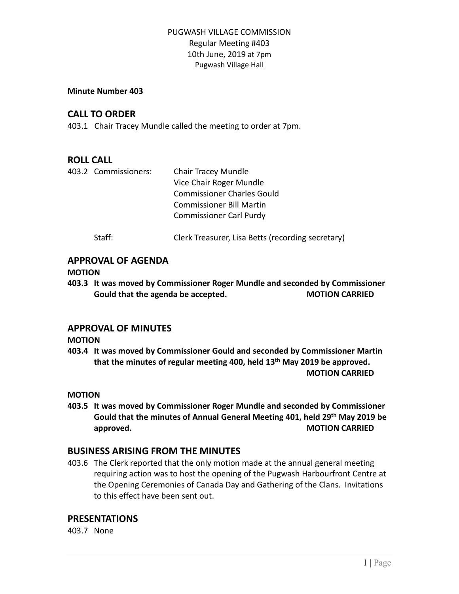### **Minute Number 403**

# **CALL TO ORDER**

403.1 Chair Tracey Mundle called the meeting to order at 7pm.

# **ROLL CALL**

|  | 403.2 Commissioners: | <b>Chair Tracey Mundle</b>                        |
|--|----------------------|---------------------------------------------------|
|  |                      | Vice Chair Roger Mundle                           |
|  |                      | <b>Commissioner Charles Gould</b>                 |
|  |                      | Commissioner Bill Martin                          |
|  |                      | <b>Commissioner Carl Purdy</b>                    |
|  | Staff:               | Clerk Treasurer, Lisa Betts (recording secretary) |

# **APPROVAL OF AGENDA**

### **MOTION**

**403.3 It was moved by Commissioner Roger Mundle and seconded by Commissioner Gould that the agenda be accepted. MOTION CARRIED**

### **APPROVAL OF MINUTES**

### **MOTION**

**403.4 It was moved by Commissioner Gould and seconded by Commissioner Martin that the minutes of regular meeting 400, held 13th May 2019 be approved. MOTION CARRIED**

### **MOTION**

**403.5 It was moved by Commissioner Roger Mundle and seconded by Commissioner Gould that the minutes of Annual General Meeting 401, held 29th May 2019 be approved. MOTION CARRIED** 

# **BUSINESS ARISING FROM THE MINUTES**

403.6 The Clerk reported that the only motion made at the annual general meeting requiring action was to host the opening of the Pugwash Harbourfront Centre at the Opening Ceremonies of Canada Day and Gathering of the Clans. Invitations to this effect have been sent out.

### **PRESENTATIONS**

403.7 None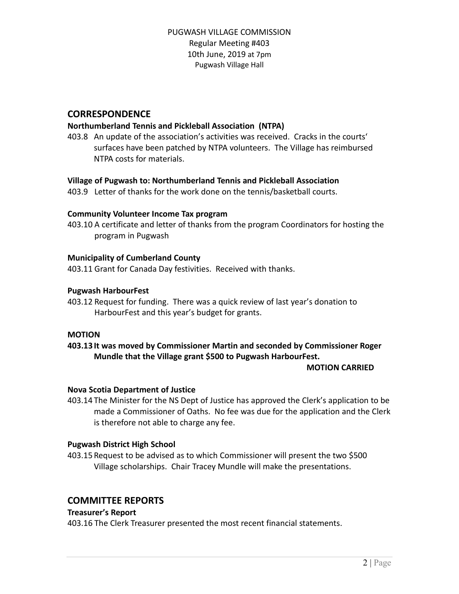# **CORRESPONDENCE**

### **Northumberland Tennis and Pickleball Association (NTPA)**

403.8 An update of the association's activities was received. Cracks in the courts' surfaces have been patched by NTPA volunteers. The Village has reimbursed NTPA costs for materials.

### **Village of Pugwash to: Northumberland Tennis and Pickleball Association**

403.9 Letter of thanks for the work done on the tennis/basketball courts.

### **Community Volunteer Income Tax program**

403.10 A certificate and letter of thanks from the program Coordinators for hosting the program in Pugwash

#### **Municipality of Cumberland County**

403.11 Grant for Canada Day festivities. Received with thanks.

#### **Pugwash HarbourFest**

403.12 Request for funding. There was a quick review of last year's donation to HarbourFest and this year's budget for grants.

#### **MOTION**

# **403.13 It was moved by Commissioner Martin and seconded by Commissioner Roger Mundle that the Village grant \$500 to Pugwash HarbourFest.**

#### **MOTION CARRIED**

#### **Nova Scotia Department of Justice**

403.14 The Minister for the NS Dept of Justice has approved the Clerk's application to be made a Commissioner of Oaths. No fee was due for the application and the Clerk is therefore not able to charge any fee.

#### **Pugwash District High School**

403.15 Request to be advised as to which Commissioner will present the two \$500 Village scholarships. Chair Tracey Mundle will make the presentations.

### **COMMITTEE REPORTS**

### **Treasurer's Report**

403.16 The Clerk Treasurer presented the most recent financial statements.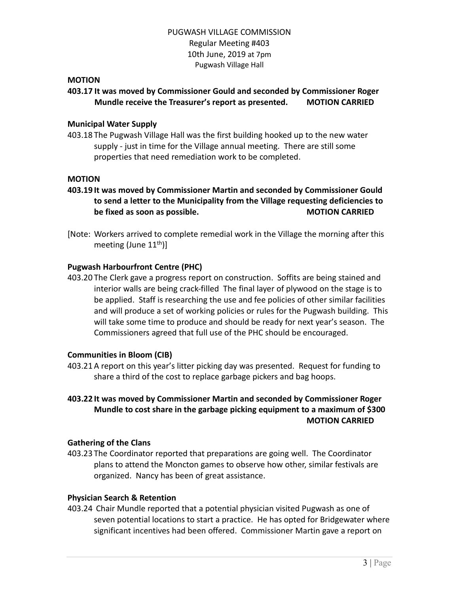### **MOTION**

# **403.17 It was moved by Commissioner Gould and seconded by Commissioner Roger Mundle receive the Treasurer's report as presented. MOTION CARRIED**

#### **Municipal Water Supply**

403.18 The Pugwash Village Hall was the first building hooked up to the new water supply - just in time for the Village annual meeting. There are still some properties that need remediation work to be completed.

#### **MOTION**

- **403.19 It was moved by Commissioner Martin and seconded by Commissioner Gould to send a letter to the Municipality from the Village requesting deficiencies to be fixed as soon as possible. MOTION CARRIED**
- [Note: Workers arrived to complete remedial work in the Village the morning after this meeting (June  $11<sup>th</sup>$ )]

#### **Pugwash Harbourfront Centre (PHC)**

403.20 The Clerk gave a progress report on construction. Soffits are being stained and interior walls are being crack-filled The final layer of plywood on the stage is to be applied. Staff is researching the use and fee policies of other similar facilities and will produce a set of working policies or rules for the Pugwash building. This will take some time to produce and should be ready for next year's season. The Commissioners agreed that full use of the PHC should be encouraged.

#### **Communities in Bloom (CIB)**

403.21A report on this year's litter picking day was presented. Request for funding to share a third of the cost to replace garbage pickers and bag hoops.

## **403.22 It was moved by Commissioner Martin and seconded by Commissioner Roger Mundle to cost share in the garbage picking equipment to a maximum of \$300 MOTION CARRIED**

#### **Gathering of the Clans**

403.23 The Coordinator reported that preparations are going well. The Coordinator plans to attend the Moncton games to observe how other, similar festivals are organized. Nancy has been of great assistance.

#### **Physician Search & Retention**

403.24 Chair Mundle reported that a potential physician visited Pugwash as one of seven potential locations to start a practice. He has opted for Bridgewater where significant incentives had been offered. Commissioner Martin gave a report on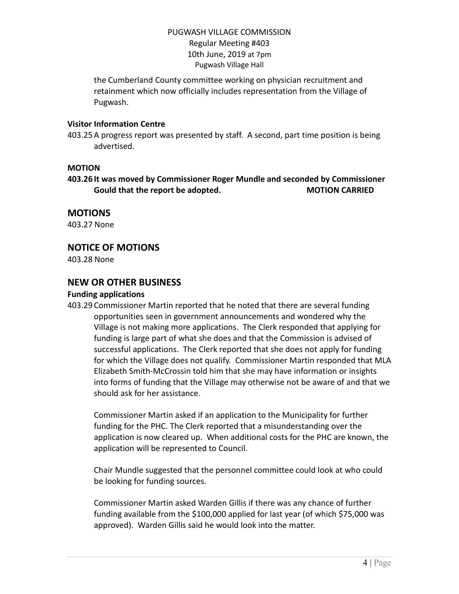the Cumberland County committee working on physician recruitment and retainment which now officially includes representation from the Village of Pugwash.

### **Visitor Information Centre**

403.25A progress report was presented by staff. A second, part time position is being advertised.

### **MOTION**

**403.26 It was moved by Commissioner Roger Mundle and seconded by Commissioner Gould that the report be adopted. MOTION CARRIED**

# **MOTIONS**

403.27 None

# **NOTICE OF MOTIONS**

403.28 None

# **NEW OR OTHER BUSINESS**

### **Funding applications**

403.29 Commissioner Martin reported that he noted that there are several funding opportunities seen in government announcements and wondered why the Village is not making more applications. The Clerk responded that applying for funding is large part of what she does and that the Commission is advised of successful applications. The Clerk reported that she does not apply for funding for which the Village does not qualify. Commissioner Martin responded that MLA Elizabeth Smith-McCrossin told him that she may have information or insights into forms of funding that the Village may otherwise not be aware of and that we should ask for her assistance.

Commissioner Martin asked if an application to the Municipality for further funding for the PHC. The Clerk reported that a misunderstanding over the application is now cleared up. When additional costs for the PHC are known, the application will be represented to Council.

Chair Mundle suggested that the personnel committee could look at who could be looking for funding sources.

Commissioner Martin asked Warden Gillis if there was any chance of further funding available from the \$100,000 applied for last year (of which \$75,000 was approved). Warden Gillis said he would look into the matter.